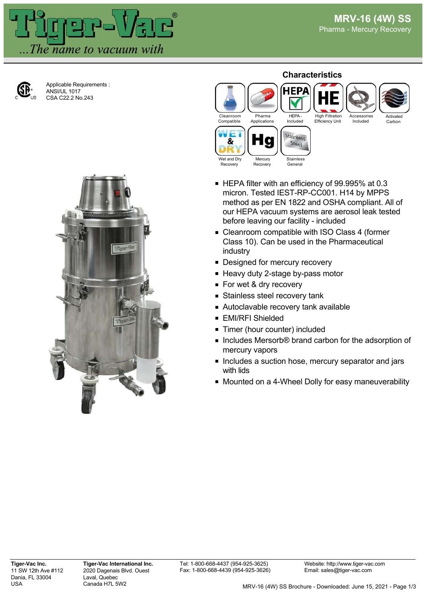Activated **Carbon** 



Applicable Requirements : ANSI/UL 1017 CSA C22.2 No.243



## **Characteristics**



- HEPA filter with an efficiency of 99.995% at 0.3 micron. Tested IEST-RP-CC001. H14 by MPPS method as per EN 1822 and OSHA compliant. All of our HEPA vacuum systems are aerosol leak tested before leaving our facility - included
- Cleanroom compatible with ISO Class 4 (former Class 10). Can be used in the Pharmaceutical industry
- **Designed for mercury recovery**
- Heavy duty 2-stage by-pass motor
- For wet & dry recovery
- **Stainless steel recovery tank**
- Autoclavable recovery tank available
- **EMI/RFI Shielded**
- **Timer (hour counter) included**
- Includes Mersorb® brand carbon for the adsorption of mercury vapors
- **Includes a suction hose, mercury separator and jars** with lids
- Mounted on a 4-Wheel Dolly for easy maneuverability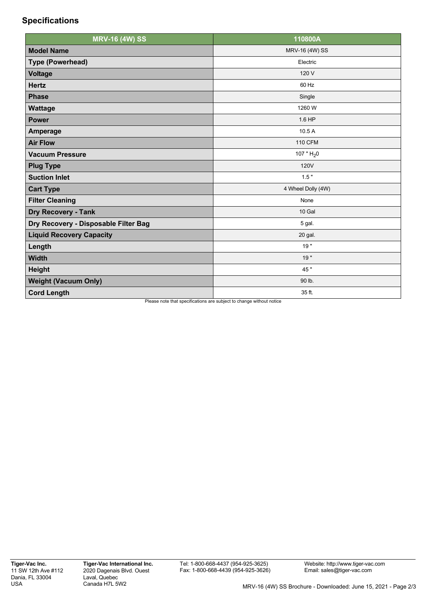## **Specifications**

| <b>MRV-16 (4W) SS</b>                | 110800A                                                                        |
|--------------------------------------|--------------------------------------------------------------------------------|
| <b>Model Name</b>                    | MRV-16 (4W) SS                                                                 |
| <b>Type (Powerhead)</b>              | Electric                                                                       |
| <b>Voltage</b>                       | 120 V                                                                          |
| <b>Hertz</b>                         | 60 Hz                                                                          |
| <b>Phase</b>                         | Single                                                                         |
| <b>Wattage</b>                       | 1260 W                                                                         |
| <b>Power</b>                         | 1.6 HP                                                                         |
| Amperage                             | 10.5 A                                                                         |
| <b>Air Flow</b>                      | <b>110 CFM</b>                                                                 |
| <b>Vacuum Pressure</b>               | 107 " $H_2$ 0                                                                  |
| <b>Plug Type</b>                     | 120V                                                                           |
| <b>Suction Inlet</b>                 | $1.5$ "                                                                        |
| <b>Cart Type</b>                     | 4 Wheel Dolly (4W)                                                             |
| <b>Filter Cleaning</b>               | None                                                                           |
| <b>Dry Recovery - Tank</b>           | 10 Gal                                                                         |
| Dry Recovery - Disposable Filter Bag | 5 gal.                                                                         |
| <b>Liquid Recovery Capacity</b>      | 20 gal.                                                                        |
| Length                               | 19"                                                                            |
| <b>Width</b>                         | 19"                                                                            |
| <b>Height</b>                        | 45 "                                                                           |
| <b>Weight (Vacuum Only)</b>          | 90 lb.                                                                         |
| <b>Cord Length</b>                   | 35 ft.<br>Please note that specifications are subject to change without potice |

se note that specifications are subject to change without notice